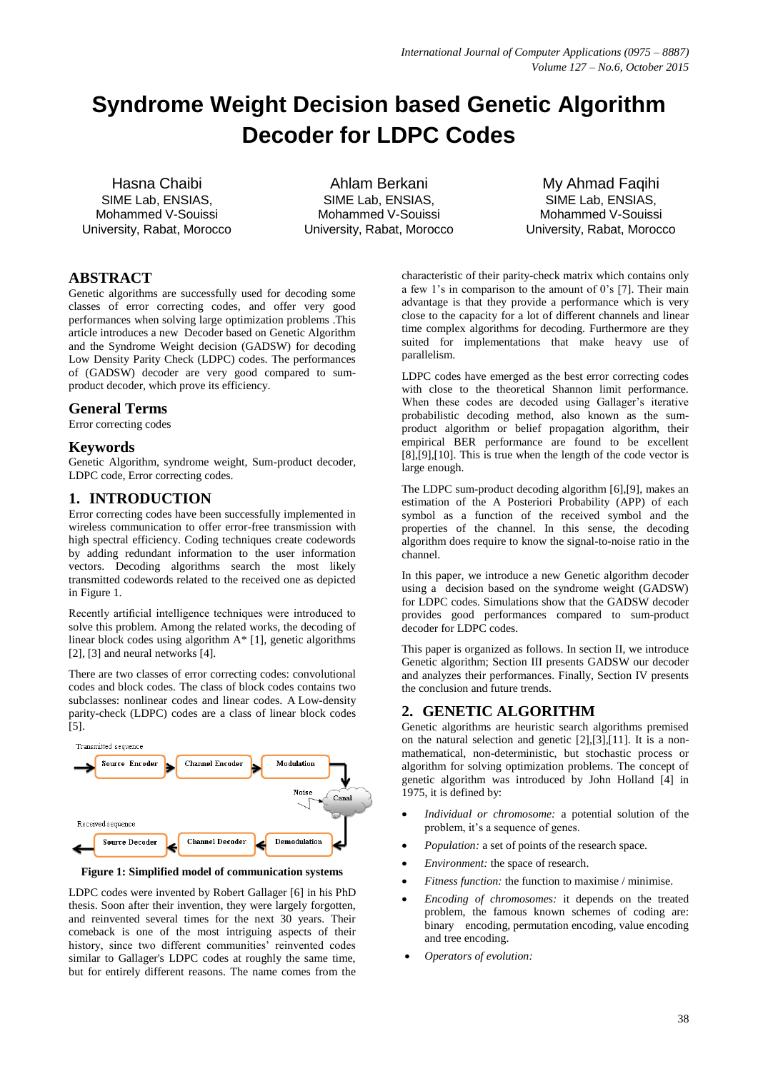# **Syndrome Weight Decision based Genetic Algorithm Decoder for LDPC Codes**

Hasna Chaibi SIME Lab, ENSIAS, Mohammed V-Souissi University, Rabat, Morocco

Ahlam Berkani SIME Lab, ENSIAS, Mohammed V-Souissi University, Rabat, Morocco

My Ahmad Faqihi SIME Lab, ENSIAS, Mohammed V-Souissi University, Rabat, Morocco

## **ABSTRACT**

Genetic algorithms are successfully used for decoding some classes of error correcting codes, and offer very good performances when solving large optimization problems .This article introduces a new Decoder based on Genetic Algorithm and the Syndrome Weight decision (GADSW) for decoding Low Density Parity Check (LDPC) codes. The performances of (GADSW) decoder are very good compared to sumproduct decoder, which prove its efficiency.

## **General Terms**

Error correcting codes

## **Keywords**

Genetic Algorithm, syndrome weight, Sum-product decoder, LDPC code, Error correcting codes.

## **1. INTRODUCTION**

Error correcting codes have been successfully implemented in wireless communication to offer error-free transmission with high spectral efficiency. Coding techniques create codewords by adding redundant information to the user information vectors. Decoding algorithms search the most likely transmitted codewords related to the received one as depicted in Figure 1.

Recently artificial intelligence techniques were introduced to solve this problem. Among the related works, the decoding of linear block codes using algorithm A\* [1], genetic algorithms [2], [3] and neural networks [4].

There are two classes of error correcting codes: convolutional codes and block codes. The class of block codes contains two subclasses: nonlinear codes and linear codes. A Low-density parity-check (LDPC) codes are a class of linear block codes [5].



**Figure 1: Simplified model of communication systems**

LDPC codes were invented by Robert Gallager [6] in his PhD thesis. Soon after their invention, they were largely forgotten, and reinvented several times for the next 30 years. Their comeback is one of the most intriguing aspects of their history, since two different communities' reinvented codes similar to Gallager's LDPC codes at roughly the same time, but for entirely different reasons. The name comes from the

characteristic of their parity-check matrix which contains only a few 1's in comparison to the amount of  $0$ 's [7]. Their main advantage is that they provide a performance which is very close to the capacity for a lot of different channels and linear time complex algorithms for decoding. Furthermore are they suited for implementations that make heavy use of parallelism.

LDPC codes have emerged as the best error correcting codes with close to the theoretical Shannon limit performance. When these codes are decoded using Gallager's iterative probabilistic decoding method, also known as the sumproduct algorithm or belief propagation algorithm, their empirical BER performance are found to be excellent  $[8]$ , $[9]$ , $[10]$ . This is true when the length of the code vector is large enough.

The LDPC sum-product decoding algorithm [6],[9], makes an estimation of the A Posteriori Probability (APP) of each symbol as a function of the received symbol and the properties of the channel. In this sense, the decoding algorithm does require to know the signal-to-noise ratio in the channel.

In this paper, we introduce a new Genetic algorithm decoder using a decision based on the syndrome weight (GADSW) for LDPC codes. Simulations show that the GADSW decoder provides good performances compared to sum-product decoder for LDPC codes.

This paper is organized as follows. In section II, we introduce Genetic algorithm; Section III presents GADSW our decoder and analyzes their performances. Finally, Section IV presents the conclusion and future trends.

## **2. GENETIC ALGORITHM**

Genetic algorithms are heuristic search algorithms premised on the natural selection and genetic [2],[3],[11]. It is a nonmathematical, non-deterministic, but stochastic process or algorithm for solving optimization problems. The concept of genetic algorithm was introduced by John Holland [4] in 1975, it is defined by:

- *Individual or chromosome:* a potential solution of the problem, it's a sequence of genes.
- *Population:* a set of points of the research space.
- *Environment:* the space of research.
- *Fitness function:* the function to maximise / minimise.
- *Encoding of chromosomes:* it depends on the treated problem, the famous known schemes of coding are: binary encoding, permutation encoding, value encoding and tree encoding.
- *Operators of evolution:*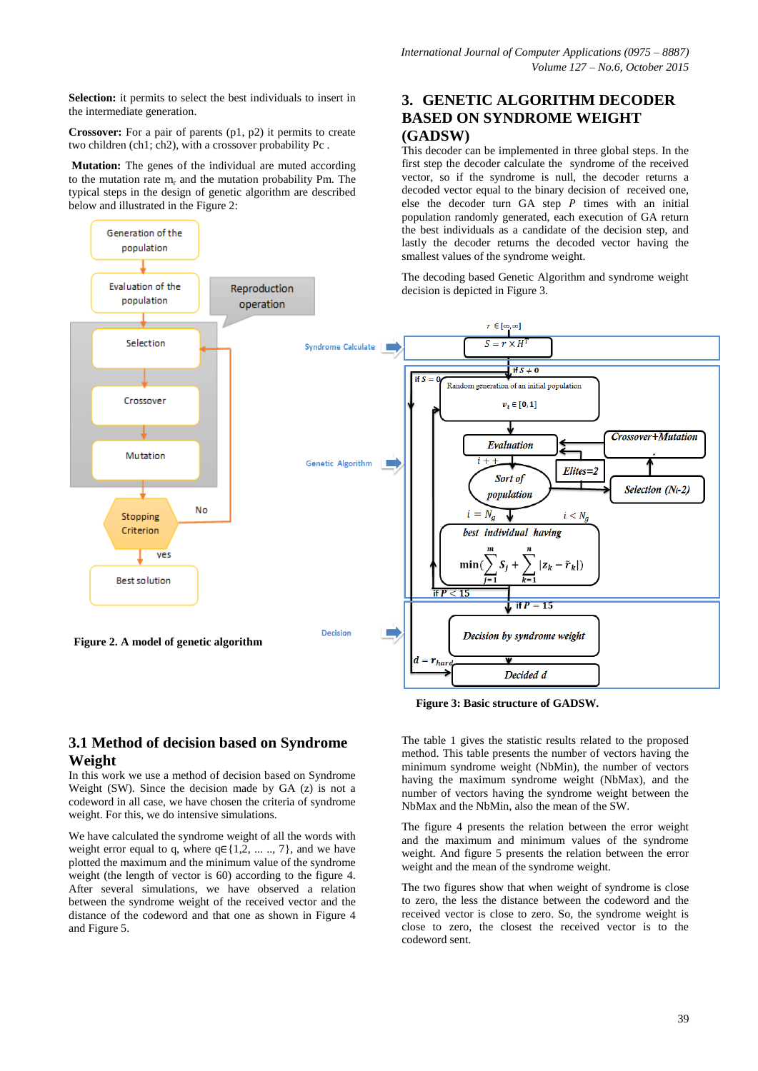**3. GENETIC ALGORITHM DECODER BASED ON SYNDROME WEIGHT** 

This decoder can be implemented in three global steps. In the first step the decoder calculate the syndrome of the received vector, so if the syndrome is null, the decoder returns a decoded vector equal to the binary decision of received one, else the decoder turn GA step  $P$  times with an initial population randomly generated, each execution of GA return

**Selection:** it permits to select the best individuals to insert in the intermediate generation.

**Crossover:** For a pair of parents (p1, p2) it permits to create two children (ch1; ch2), with a crossover probability Pc .

**Mutation:** The genes of the individual are muted according to the mutation rate  $m_r$  and the mutation probability Pm. The typical steps in the design of genetic algorithm are described below and illustrated in the Figure 2:

#### the best individuals as a candidate of the decision step, and Generation of the lastly the decoder returns the decoded vector having the nopulation smallest values of the syndrome weight. The decoding based Genetic Algorithm and syndrome weight Evaluation of the Reproduction decision is depicted in Figure 3. population operation  $r \in [\infty, \infty]$ Selection  $S = r \times h$ **Syndrome Calculate** if  $S \neq 0$ if s Random generation of an initial population Crossover  $v_i \in [0,1]$ Crossover+Mutation Evaluation Mutation **Genetic Algorithm** п  $Elites = 2$ Sort of Selection (Ni-2) population No  $i = N_g$  $i < N_g$ Stopping Criterion best individual having ves  $S_i +$  $-\tilde{r}_k$  $min($  $|z_k|$ **Best solution** if P  $\leq 15$ if  $P = 15$ Decision ÷. Decision by syndrome weight **Figure 2. A model of genetic algorithm** $=r_{har}$ Decided d

**(GADSW)**

## **Figure 3: Basic structure of GADSW.**

The table 1 gives the statistic results related to the proposed method. This table presents the number of vectors having the minimum syndrome weight (NbMin), the number of vectors having the maximum syndrome weight (NbMax), and the number of vectors having the syndrome weight between the NbMax and the NbMin, also the mean of the SW.

The figure 4 presents the relation between the error weight and the maximum and minimum values of the syndrome weight. And figure 5 presents the relation between the error weight and the mean of the syndrome weight.

The two figures show that when weight of syndrome is close to zero, the less the distance between the codeword and the received vector is close to zero. So, the syndrome weight is close to zero, the closest the received vector is to the codeword sent.

## **3.1 Method of decision based on Syndrome Weight**

In this work we use a method of decision based on Syndrome Weight (SW). Since the decision made by GA (z) is not a codeword in all case, we have chosen the criteria of syndrome weight. For this, we do intensive simulations.

We have calculated the syndrome weight of all the words with weight error equal to q, where  $q \in \{1, 2, ..., 7\}$ , and we have plotted the maximum and the minimum value of the syndrome weight (the length of vector is 60) according to the figure 4. After several simulations, we have observed a relation between the syndrome weight of the received vector and the distance of the codeword and that one as shown in Figure 4 and Figure 5.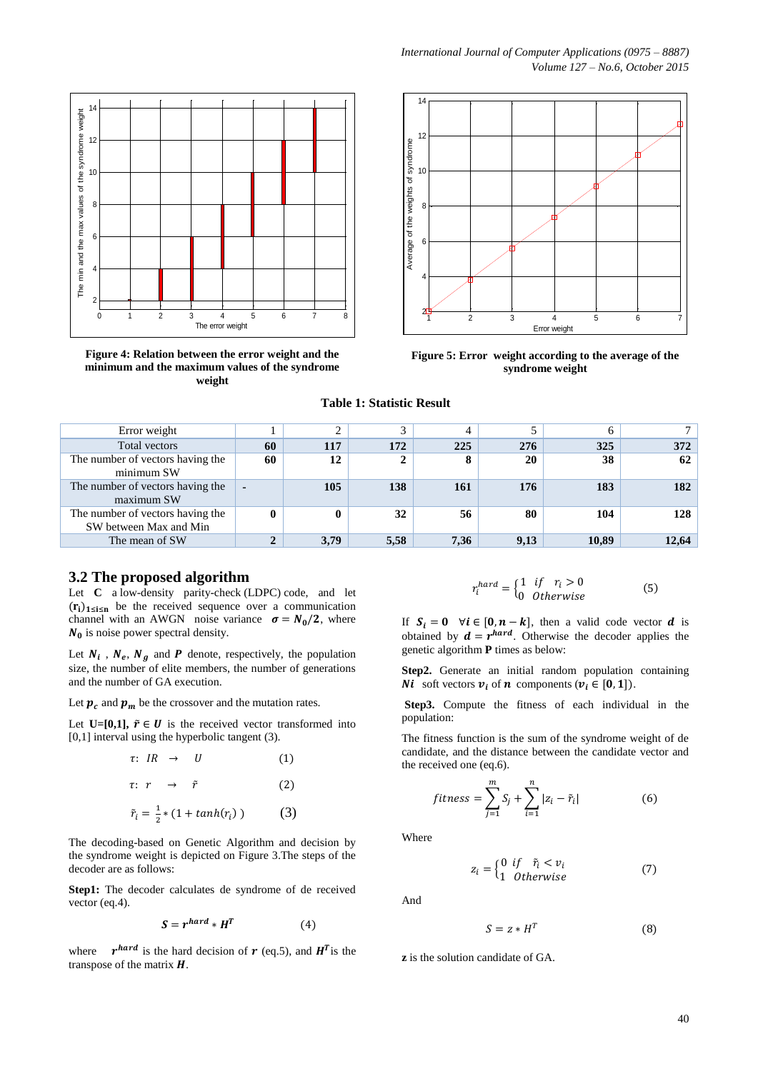

**Figure 4: Relation between the error weight and the minimum and the maximum values of the syndrome weight**



**Figure 5: Error weight according to the average of the syndrome weight**

|  | <b>Table 1: Statistic Result</b> |  |
|--|----------------------------------|--|
|--|----------------------------------|--|

| Error weight                                               |    |      | 3    | 4    |      | 6     |       |
|------------------------------------------------------------|----|------|------|------|------|-------|-------|
| Total vectors                                              | 60 | 117  | 172  | 225  | 276  | 325   | 372   |
| The number of vectors having the<br>minimum SW             | 60 | 12   | 2    | 8    | 20   | 38    | 62    |
| The number of vectors having the<br>maximum SW             | ٠  | 105  | 138  | 161  | 176  | 183   | 182   |
| The number of vectors having the<br>SW between Max and Min |    | 0    | 32   | 56   | 80   | 104   | 128   |
| The mean of SW                                             |    | 3,79 | 5,58 | 7,36 | 9,13 | 10.89 | 12.64 |

#### **3.2 The proposed algorithm**

Let **C** a low-density parity-check (LDPC) code, and let  $(r_i)_{1 \leq i \leq n}$  be the received sequence over a communication channel with an AWGN noise variance  $\sigma = N_0/2$ , where  $N_0$  is noise power spectral density.

Let  $N_i$ ,  $N_e$ ,  $N_a$  and  $P$  denote, respectively, the population size, the number of elite members, the number of generations and the number of GA execution.

Let  $p_c$  and  $p_m$  be the crossover and the mutation rates.

Let **U=[0,1]**,  $\tilde{r} \in U$  is the received vector transformed into [0,1] interval using the hyperbolic tangent (3).

$$
\tau: IR \rightarrow U \qquad (1)
$$
\n
$$
\tau: r \rightarrow \tilde{r} \qquad (2)
$$
\n
$$
\tilde{r}_i = \frac{1}{2} * (1 + \tanh(r_i)) \qquad (3)
$$

The decoding-based on Genetic Algorithm and decision by the syndrome weight is depicted on Figure 3.The steps of the decoder are as follows:

**Step1:** The decoder calculates de syndrome of de received vector (eq.4).

$$
S = r^{hard} * H^T \tag{4}
$$

where hard is the hard decision of  $r$  (eq.5), and  $H^{T}$  is the transpose of the matrix  $H$ .

$$
r_i^{hard} = \begin{cases} 1 & if \quad r_i > 0 \\ 0 & Otherwise \end{cases}
$$
 (5)

If  $S_i = 0$   $\forall i \in [0, n-k]$ , then a valid code vector d is obtained by  $\mathbf{d} = r^{hard}$ . Otherwise the decoder applies the genetic algorithm **P** times as below:

**Step2.** Generate an initial random population containing **Ni** soft vectors  $v_i$  of **n** components ( $v_i \in [0,1]$ ).

**Step3.** Compute the fitness of each individual in the population:

The fitness function is the sum of the syndrome weight of de candidate, and the distance between the candidate vector and the received one (eq.6).

$$
fitness = \sum_{j=1}^{m} S_j + \sum_{i=1}^{n} |z_i - \tilde{r}_i|
$$
 (6)

Where

$$
z_i = \begin{cases} 0 & \text{if } \quad \tilde{r}_i < v_i \\ 1 & \text{Otherwise} \end{cases} \tag{7}
$$

And

$$
S = z * H^T \tag{8}
$$

**z** is the solution candidate of GA.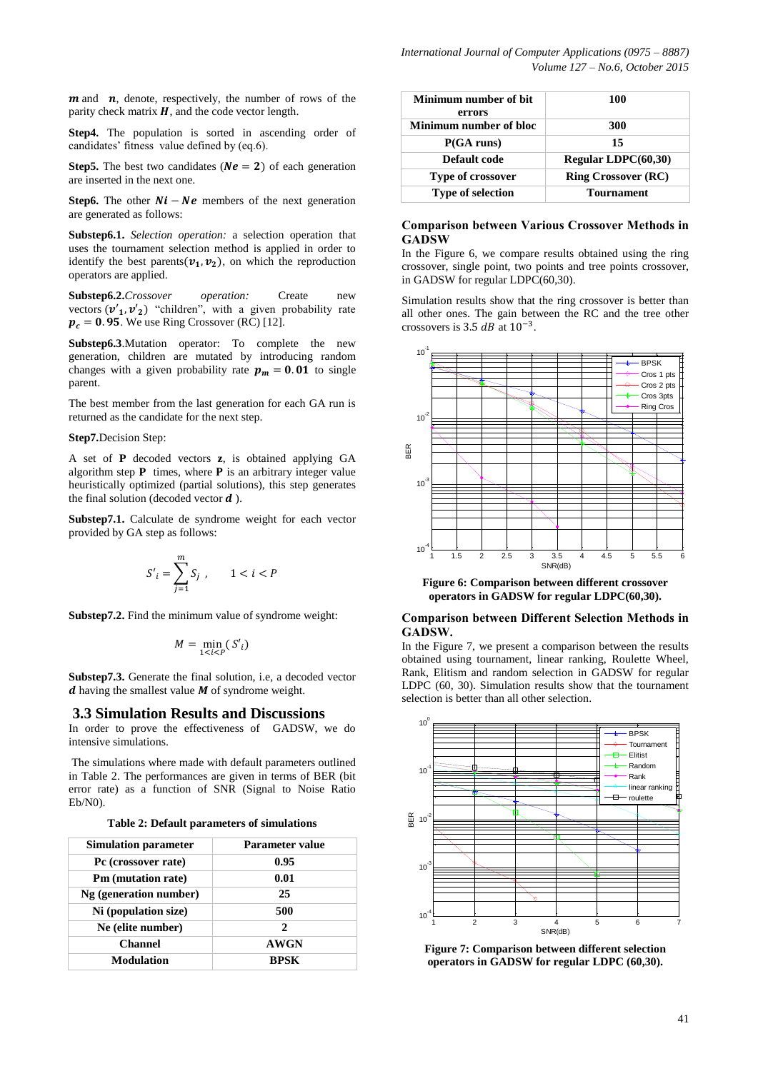$m$  and  $n$ , denote, respectively, the number of rows of the parity check matrix  $H$ , and the code vector length.

**Step4.** The population is sorted in ascending order of candidates' fitness value defined by (eq.6).

**Step5.** The best two candidates ( $Ne = 2$ ) of each generation are inserted in the next one.

**Step6.** The other  $Ni - Ne$  members of the next generation are generated as follows:

**Substep6.1.** *Selection operation:* a selection operation that uses the tournament selection method is applied in order to identify the best parents  $(v_1, v_2)$ , on which the reproduction operators are applied.

**Substep6.2.***Crossover operation:* Create new vectors  $(v'_1, v'_2)$  "children", with a given probability rate  $p_c = 0.95$ . We use Ring Crossover (RC) [12].

**Substep6.3**.Mutation operator: To complete the new generation, children are mutated by introducing random changes with a given probability rate  $p_m = 0.01$  to single parent.

The best member from the last generation for each GA run is returned as the candidate for the next step.

#### **Step7.**Decision Step:

A set of **P** decoded vectors **z**, is obtained applying GA algorithm step  $P$  times, where  $P$  is an arbitrary integer value heuristically optimized (partial solutions), this step generates the final solution (decoded vector  $\boldsymbol{d}$ ).

**Substep7.1.** Calculate de syndrome weight for each vector provided by GA step as follows:

$$
S'_i = \sum_{j=1}^m S_j, \qquad 1 < i < P
$$

**Substep7.2.** Find the minimum value of syndrome weight:

$$
M = \min_{1 \le i \le P} (S'_i)
$$

**Substep7.3.** Generate the final solution, i.e, a decoded vector  $d$  having the smallest value  $M$  of syndrome weight.

#### **3.3 Simulation Results and Discussions**

In order to prove the effectiveness of GADSW, we do intensive simulations.

The simulations where made with default parameters outlined in Table 2. The performances are given in terms of BER (bit error rate) as a function of SNR (Signal to Noise Ratio Eb/N0).

**Table 2: Default parameters of simulations**

| <b>Simulation parameter</b> | <b>Parameter value</b>      |
|-----------------------------|-----------------------------|
| Pc (crossover rate)         | 0.95                        |
| Pm (mutation rate)          | 0.01                        |
| Ng (generation number)      | 25                          |
| Ni (population size)        | 500                         |
| Ne (elite number)           | $\mathcal{D}_{\mathcal{L}}$ |
| <b>Channel</b>              | <b>AWGN</b>                 |
| <b>Modulation</b>           | <b>RPSK</b>                 |

| Minimum number of bit<br>errors | 100                        |
|---------------------------------|----------------------------|
| Minimum number of bloc          | 300                        |
| P(GA runs)                      | 15                         |
| Default code                    | Regular LDPC(60,30)        |
| Type of crossover               | <b>Ring Crossover (RC)</b> |
| <b>Type of selection</b>        | <b>Tournament</b>          |

#### **Comparison between Various Crossover Methods in GADSW**

In the Figure 6, we compare results obtained using the ring crossover, single point, two points and tree points crossover, in GADSW for regular LDPC(60,30).

Simulation results show that the ring crossover is better than all other ones. The gain between the RC and the tree other crossovers is 3.5  $dB$  at  $10^{-3}$ .



**Figure 6: Comparison between different crossover operators in GADSW for regular LDPC(60,30).**

#### **Comparison between Different Selection Methods in GADSW.**

In the Figure 7, we present a comparison between the results obtained using tournament, linear ranking, Roulette Wheel, Rank, Elitism and random selection in GADSW for regular LDPC (60, 30). Simulation results show that the tournament selection is better than all other selection.



**Figure 7: Comparison between different selection operators in GADSW for regular LDPC (60,30).**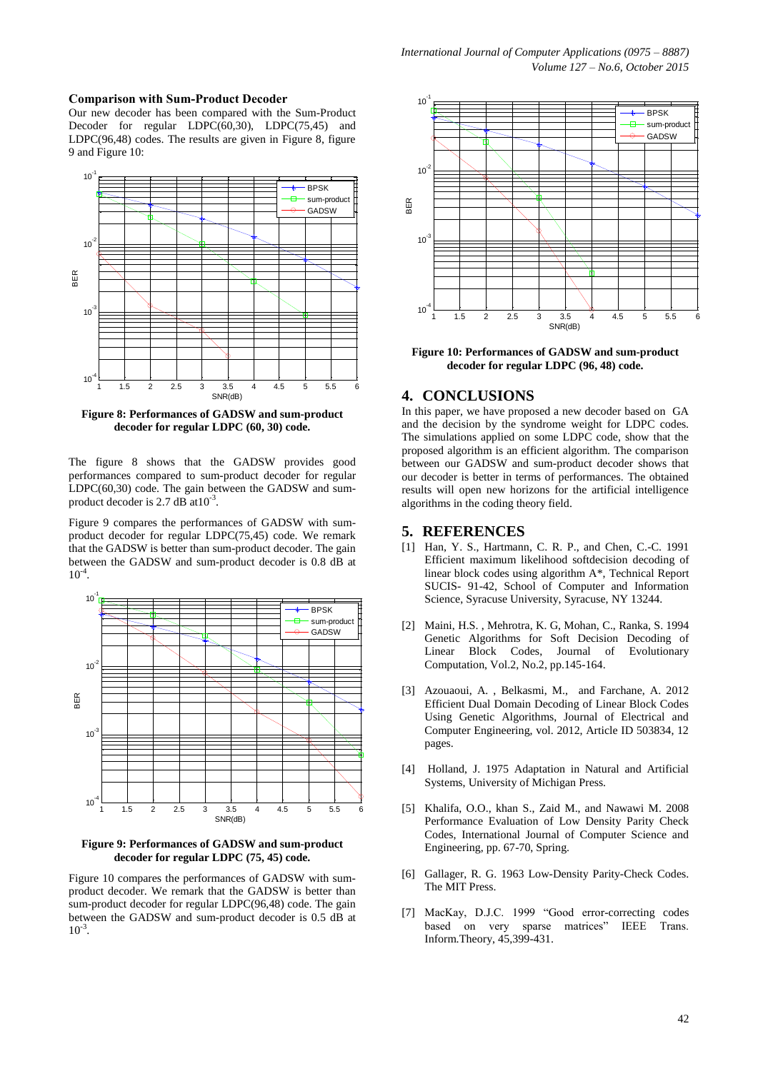#### **Comparison with Sum-Product Decoder**

Our new decoder has been compared with the Sum-Product Decoder for regular  $LDPC(60,30)$ ,  $LDPC(75,45)$  and LDPC(96,48) codes. The results are given in Figure 8, figure 9 and Figure 10:



**Figure 8: Performances of GADSW and sum-product decoder for regular LDPC (60, 30) code.**

The figure 8 shows that the GADSW provides good performances compared to sum-product decoder for regular LDPC(60,30) code. The gain between the GADSW and sumproduct decoder is 2.7 dB at  $10^{-3}$ .

Figure 9 compares the performances of GADSW with sumproduct decoder for regular LDPC(75,45) code. We remark that the GADSW is better than sum-product decoder. The gain between the GADSW and sum-product decoder is 0.8 dB at  $10^{-4}$ .



**Figure 9: Performances of GADSW and sum-product decoder for regular LDPC (75, 45) code.**

Figure 10 compares the performances of GADSW with sumproduct decoder. We remark that the GADSW is better than sum-product decoder for regular LDPC(96,48) code. The gain between the GADSW and sum-product decoder is 0.5 dB at  $10^{-3}$ .



**Figure 10: Performances of GADSW and sum-product decoder for regular LDPC (96, 48) code.**

### **4. CONCLUSIONS**

In this paper, we have proposed a new decoder based on GA and the decision by the syndrome weight for LDPC codes. The simulations applied on some LDPC code, show that the proposed algorithm is an efficient algorithm. The comparison between our GADSW and sum-product decoder shows that our decoder is better in terms of performances. The obtained results will open new horizons for the artificial intelligence algorithms in the coding theory field.

#### **5. REFERENCES**

- [1] Han, Y. S., Hartmann, C. R. P., and Chen, C.-C. 1991 Efficient maximum likelihood softdecision decoding of linear block codes using algorithm A\*, Technical Report SUCIS- 91-42, School of Computer and Information Science, Syracuse University, Syracuse, NY 13244.
- [2] Maini, H.S. , Mehrotra, K. G, Mohan, C., Ranka, S. 1994 Genetic Algorithms for Soft Decision Decoding of Linear Block Codes, Journal of Evolutionary Computation, Vol.2, No.2, pp.145-164.
- [3] Azouaoui, A. , Belkasmi, M., and Farchane, A. 2012 Efficient Dual Domain Decoding of Linear Block Codes Using Genetic Algorithms, Journal of Electrical and Computer Engineering, vol. 2012, Article ID 503834, 12 pages.
- [4] Holland, J. 1975 Adaptation in Natural and Artificial Systems, University of Michigan Press.
- [5] Khalifa, O.O., khan S., Zaid M., and Nawawi M. 2008 Performance Evaluation of Low Density Parity Check Codes, International Journal of Computer Science and Engineering, pp. 67-70, Spring.
- [6] Gallager, R. G. 1963 Low-Density Parity-Check Codes. The MIT Press.
- [7] MacKay, D.J.C. 1999 "Good error-correcting codes based on very sparse matrices" IEEE Trans. Inform.Theory, 45,399-431.